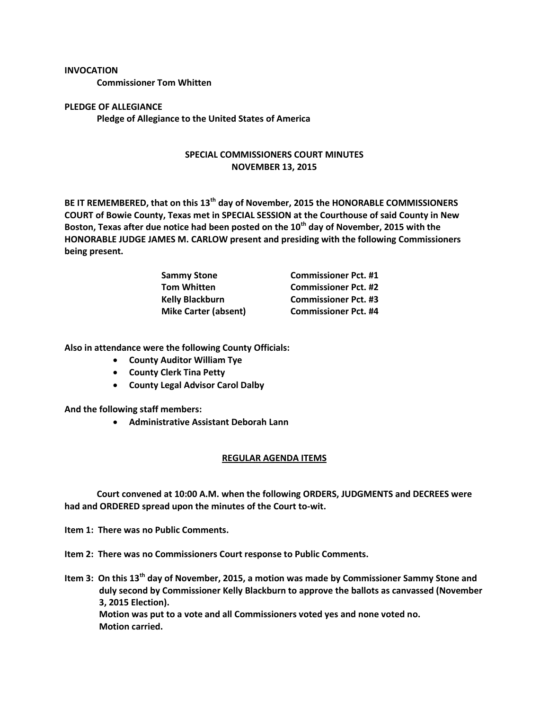## **INVOCATION**

**Commissioner Tom Whitten**

## **PLEDGE OF ALLEGIANCE Pledge of Allegiance to the United States of America**

## **SPECIAL COMMISSIONERS COURT MINUTES NOVEMBER 13, 2015**

**BE IT REMEMBERED, that on this 13th day of November, 2015 the HONORABLE COMMISSIONERS COURT of Bowie County, Texas met in SPECIAL SESSION at the Courthouse of said County in New Boston, Texas after due notice had been posted on the 10th day of November, 2015 with the HONORABLE JUDGE JAMES M. CARLOW present and presiding with the following Commissioners being present.**

| <b>Sammy Stone</b>          | <b>Commissioner Pct. #1</b> |
|-----------------------------|-----------------------------|
| <b>Tom Whitten</b>          | <b>Commissioner Pct. #2</b> |
| <b>Kelly Blackburn</b>      | <b>Commissioner Pct. #3</b> |
| <b>Mike Carter (absent)</b> | <b>Commissioner Pct. #4</b> |

**Also in attendance were the following County Officials:**

- **County Auditor William Tye**
- **County Clerk Tina Petty**
- **County Legal Advisor Carol Dalby**

**And the following staff members:**

**Administrative Assistant Deborah Lann**

## **REGULAR AGENDA ITEMS**

**Court convened at 10:00 A.M. when the following ORDERS, JUDGMENTS and DECREES were had and ORDERED spread upon the minutes of the Court to-wit.**

**Item 1: There was no Public Comments.**

**Item 2: There was no Commissioners Court response to Public Comments.**

**Item 3: On this 13th day of November, 2015, a motion was made by Commissioner Sammy Stone and duly second by Commissioner Kelly Blackburn to approve the ballots as canvassed (November 3, 2015 Election). Motion was put to a vote and all Commissioners voted yes and none voted no. Motion carried.**